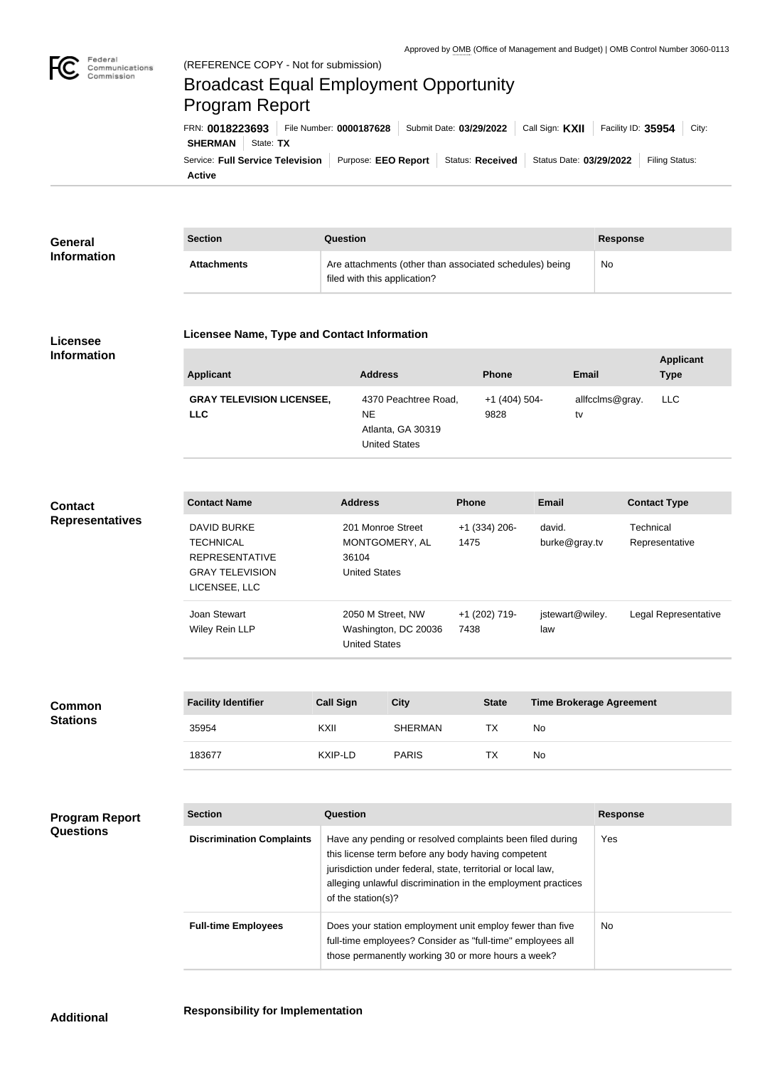

## Broadcast Equal Employment Opportunity Program Report

**Active** Service: Full Service Television | Purpose: EEO Report | Status: Received | Status Date: 03/29/2022 | Filing Status: **SHERMAN** State: TX FRN: **0018223693** File Number: **0000187628** Submit Date: **03/29/2022** Call Sign: **KXII** Facility ID: **35954** City:

| General<br><b>Information</b> | <b>Section</b>     | Question                                                                                | Response |
|-------------------------------|--------------------|-----------------------------------------------------------------------------------------|----------|
|                               | <b>Attachments</b> | Are attachments (other than associated schedules) being<br>filed with this application? | No       |

## **Licensee Information**

## **Licensee Name, Type and Contact Information**

| <b>Applicant</b>                               | <b>Address</b>                     | <b>Phone</b>          | Email                 | <b>Applicant</b><br><b>Type</b> |
|------------------------------------------------|------------------------------------|-----------------------|-----------------------|---------------------------------|
| <b>GRAY TELEVISION LICENSEE,</b><br><b>LLC</b> | 4370 Peachtree Road,<br>NE.        | $+1(404)504-$<br>9828 | allfcclms@gray.<br>tv | LLC                             |
|                                                | Atlanta, GA 30319<br>United States |                       |                       |                                 |

| <b>Contact</b>         |
|------------------------|
| <b>Representatives</b> |

| <b>Contact Name</b>    | <b>Address</b>       | <b>Phone</b>    | Email           | <b>Contact Type</b>  |
|------------------------|----------------------|-----------------|-----------------|----------------------|
| DAVID BURKE            | 201 Monroe Street    | $+1$ (334) 206- | david.          | Technical            |
| <b>TECHNICAL</b>       | MONTGOMERY, AL       | 1475            | burke@gray.tv   | Representative       |
| <b>REPRESENTATIVE</b>  | 36104                |                 |                 |                      |
| <b>GRAY TELEVISION</b> | <b>United States</b> |                 |                 |                      |
| LICENSEE, LLC          |                      |                 |                 |                      |
| Joan Stewart           | 2050 M Street, NW    | +1 (202) 719-   | jstewart@wiley. | Legal Representative |
| <b>Wiley Rein LLP</b>  | Washington, DC 20036 | 7438            | law             |                      |
|                        | <b>United States</b> |                 |                 |                      |

| <b>Common</b><br><b>Stations</b> | <b>Facility Identifier</b> | <b>Call Sign</b> | <b>City</b>    | <b>State</b> | <b>Time Brokerage Agreement</b> |
|----------------------------------|----------------------------|------------------|----------------|--------------|---------------------------------|
|                                  | 35954                      | KXII             | <b>SHERMAN</b> | TX           | No                              |
|                                  | 183677                     | KXIP-LD          | <b>PARIS</b>   | TX           | No                              |

**Program Report Questions**

| <b>Section</b>                   | Question                                                                                                                                                                                                                                                              | <b>Response</b> |
|----------------------------------|-----------------------------------------------------------------------------------------------------------------------------------------------------------------------------------------------------------------------------------------------------------------------|-----------------|
| <b>Discrimination Complaints</b> | Have any pending or resolved complaints been filed during<br>this license term before any body having competent<br>jurisdiction under federal, state, territorial or local law,<br>alleging unlawful discrimination in the employment practices<br>of the station(s)? | Yes             |
| <b>Full-time Employees</b>       | Does your station employment unit employ fewer than five<br>full-time employees? Consider as "full-time" employees all<br>those permanently working 30 or more hours a week?                                                                                          | <b>No</b>       |